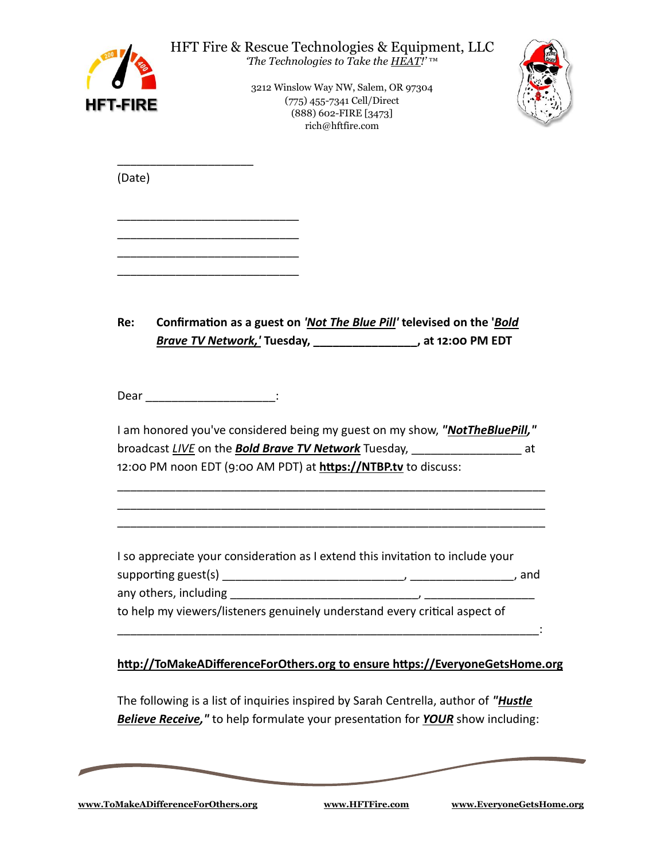| HFT-FIRE | HFT Fire & Rescue Technologies & Equipment, LLC<br>The Technologies to Take the <b>HEAT!'</b> TM<br>3212 Winslow Way NW, Salem, OR 97304<br>(775) 455-7341 Cell/Direct<br>(888) 602-FIRE [3473]<br>rich@hftfire.com                       |  |
|----------|-------------------------------------------------------------------------------------------------------------------------------------------------------------------------------------------------------------------------------------------|--|
| (Date)   |                                                                                                                                                                                                                                           |  |
|          |                                                                                                                                                                                                                                           |  |
| Re:      | Confirmation as a guest on 'Not The Blue Pill' televised on the 'Bold<br>Brave TV Network,' Tuesday, ________________, at 12:00 PM EDT                                                                                                    |  |
|          | Dear ___________________________:                                                                                                                                                                                                         |  |
|          | I am honored you've considered being my guest on my show, "NotTheBluePill,"<br>broadcast LIVE on the <b>Bold Brave TV Network</b> Tuesday, __________________________at<br>12:00 PM noon EDT (9:00 AM PDT) at https://NTBP.tv to discuss: |  |
|          | I so appreciate your consideration as I extend this invitation to include your<br>to help my viewers/listeners genuinely understand every critical aspect of                                                                              |  |
|          | http://ToMakeADifferenceForOthers.org to ensure https://EveryoneGetsHome.org                                                                                                                                                              |  |
|          | The following is a list of inquiries inspired by Sarah Centrella, author of " <i>Hustle</i><br><b>Believe Receive,"</b> to help formulate your presentation for <b>YOUR</b> show including:                                               |  |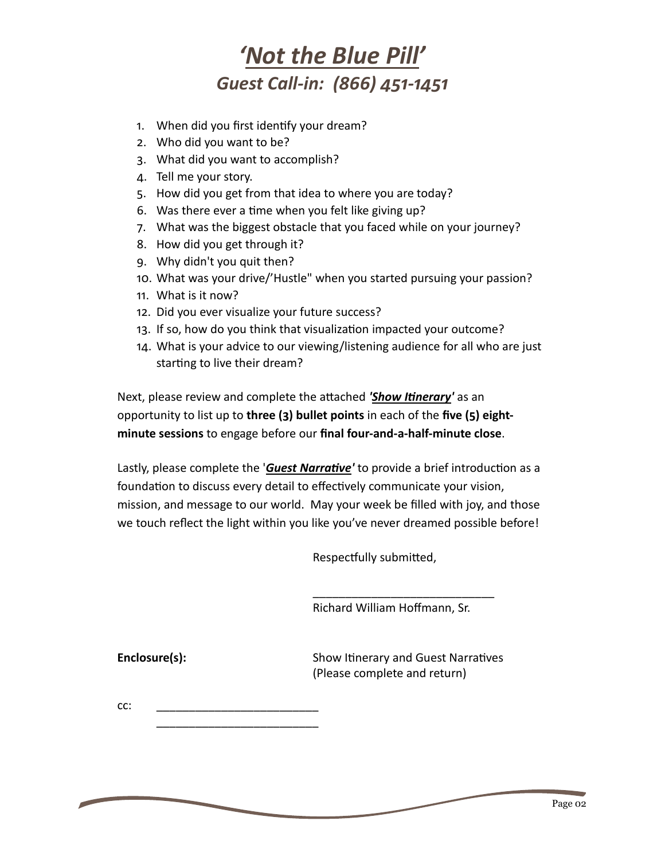## *'Not the Blue Pill' Guest Call-in: (866) 451-1451*

- 1. When did you first identify your dream?
- 2. Who did you want to be?
- 3. What did you want to accomplish?
- 4. Tell me your story.
- 5. How did you get from that idea to where you are today?
- 6. Was there ever a time when you felt like giving up?
- 7. What was the biggest obstacle that you faced while on your journey?
- 8. How did you get through it?
- 9. Why didn't you quit then?
- 10. What was your drive/'Hustle" when you started pursuing your passion?
- 11. What is it now?
- 12. Did you ever visualize your future success?
- 13. If so, how do you think that visualization impacted your outcome?
- 14. What is your advice to our viewing/listening audience for all who are just starting to live their dream?

Next, please review and complete the attached *'Show Itinerary'* as an opportunity to list up to **three (3) bullet points** in each of the **five (5) eightminute sessions** to engage before our **final four-and-a-half-minute close**.

Lastly, please complete the '*Guest Narrative'* to provide a brief introduction as a foundation to discuss every detail to effectively communicate your vision, mission, and message to our world. May your week be filled with joy, and those we touch reflect the light within you like you've never dreamed possible before!

Respectfully submitted,

Richard William Hoffmann, Sr.

\_\_\_\_\_\_\_\_\_\_\_\_\_\_\_\_\_\_\_\_\_\_\_\_\_\_\_\_

**Enclosure(s):** Show Itinerary and Guest Narratives (Please complete and return)

cc: \_\_\_\_\_\_\_\_\_\_\_\_\_\_\_\_\_\_\_\_\_\_\_\_\_ \_\_\_\_\_\_\_\_\_\_\_\_\_\_\_\_\_\_\_\_\_\_\_\_\_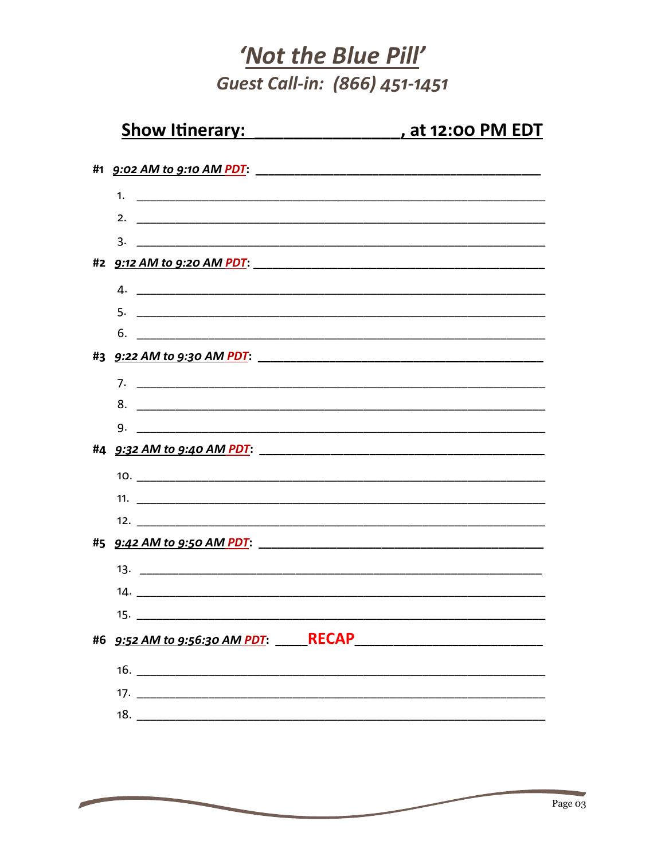## 'Not the Blue Pill' Guest Call-in: (866) 451-1451

| Show Itinerary:    |                                     |
|--------------------|-------------------------------------|
|                    |                                     |
|                    |                                     |
| 2. $\qquad \qquad$ |                                     |
|                    |                                     |
|                    |                                     |
|                    |                                     |
|                    |                                     |
|                    |                                     |
|                    |                                     |
|                    |                                     |
|                    | 8.                                  |
|                    |                                     |
|                    |                                     |
|                    |                                     |
|                    |                                     |
|                    |                                     |
|                    |                                     |
|                    |                                     |
| 15.                |                                     |
|                    | #6 9:52 AM to 9:56:30 AM PDT: RECAP |
|                    |                                     |
|                    |                                     |
|                    |                                     |